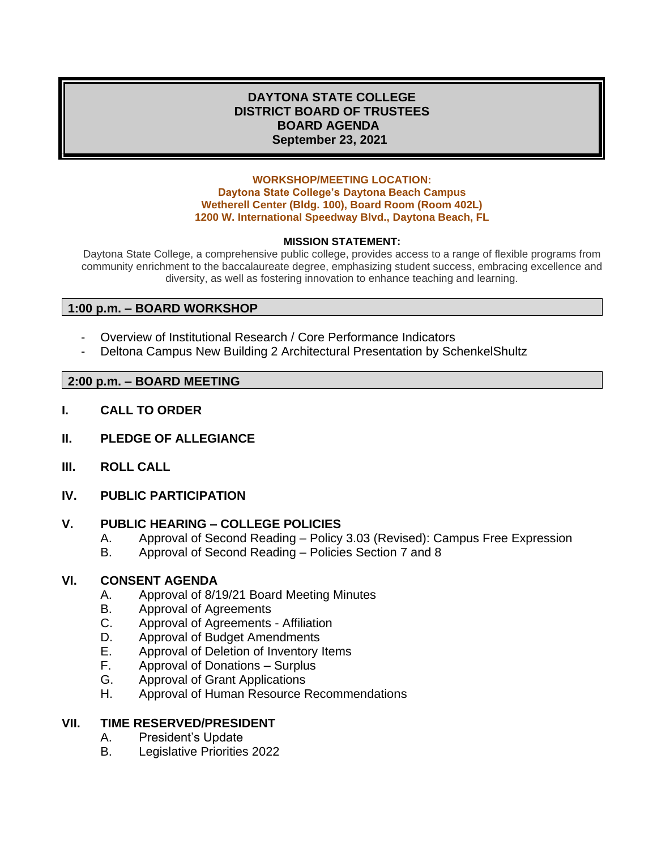## **DAYTONA STATE COLLEGE DISTRICT BOARD OF TRUSTEES BOARD AGENDA September 23, 2021**

#### **WORKSHOP/MEETING LOCATION: Daytona State College's Daytona Beach Campus Wetherell Center (Bldg. 100), Board Room (Room 402L) 1200 W. International Speedway Blvd., Daytona Beach, FL**

### **MISSION STATEMENT:**

Daytona State College, a comprehensive public college, provides access to a range of flexible programs from community enrichment to the baccalaureate degree, emphasizing student success, embracing excellence and diversity, as well as fostering innovation to enhance teaching and learning.

## **1:00 p.m. – BOARD WORKSHOP**

- Overview of Institutional Research / Core Performance Indicators
- Deltona Campus New Building 2 Architectural Presentation by SchenkelShultz

### **2:00 p.m. – BOARD MEETING**

- **I. CALL TO ORDER**
- **II. PLEDGE OF ALLEGIANCE**
- **III. ROLL CALL**
- **IV. PUBLIC PARTICIPATION**

#### **V. PUBLIC HEARING – COLLEGE POLICIES**

- A. Approval of Second Reading Policy 3.03 (Revised): Campus Free Expression
- B. Approval of Second Reading Policies Section 7 and 8

#### **VI. CONSENT AGENDA**

- A. Approval of 8/19/21 Board Meeting Minutes
- B. Approval of Agreements
- C. Approval of Agreements Affiliation
- D. Approval of Budget Amendments
- E. Approval of Deletion of Inventory Items
- F. Approval of Donations Surplus
- G. Approval of Grant Applications
- H. Approval of Human Resource Recommendations

#### **VII. TIME RESERVED/PRESIDENT**

- A. President's Update
- B. Legislative Priorities 2022